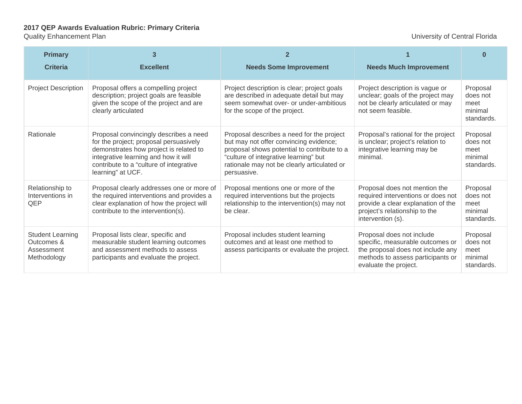## **2017 QEP Awards Evaluation Rubric: Primary Criteria**

## Quality Enhancement Plan University of Central Florida

| <b>Primary</b><br><b>Criteria</b>                                  | 3<br><b>Excellent</b>                                                                                                                                                                                                              | <b>Needs Some Improvement</b>                                                                                                                                                                                                             | <b>Needs Much Improvement</b>                                                                                                                                    | n                                                     |
|--------------------------------------------------------------------|------------------------------------------------------------------------------------------------------------------------------------------------------------------------------------------------------------------------------------|-------------------------------------------------------------------------------------------------------------------------------------------------------------------------------------------------------------------------------------------|------------------------------------------------------------------------------------------------------------------------------------------------------------------|-------------------------------------------------------|
| <b>Project Description</b>                                         | Proposal offers a compelling project<br>description; project goals are feasible<br>given the scope of the project and are<br>clearly articulated                                                                                   | Project description is clear; project goals<br>are described in adequate detail but may<br>seem somewhat over- or under-ambitious<br>for the scope of the project.                                                                        | Project description is vague or<br>unclear; goals of the project may<br>not be clearly articulated or may<br>not seem feasible.                                  | Proposal<br>does not<br>meet<br>minimal<br>standards. |
| Rationale                                                          | Proposal convincingly describes a need<br>for the project; proposal persuasively<br>demonstrates how project is related to<br>integrative learning and how it will<br>contribute to a "culture of integrative<br>learning" at UCF. | Proposal describes a need for the project<br>but may not offer convincing evidence;<br>proposal shows potential to contribute to a<br>"culture of integrative learning" but<br>rationale may not be clearly articulated or<br>persuasive. | Proposal's rational for the project<br>is unclear; project's relation to<br>integrative learning may be<br>minimal.                                              | Proposal<br>does not<br>meet<br>minimal<br>standards. |
| Relationship to<br>Interventions in<br>QEP                         | Proposal clearly addresses one or more of<br>the required interventions and provides a<br>clear explanation of how the project will<br>contribute to the intervention(s).                                                          | Proposal mentions one or more of the<br>required interventions but the projects<br>relationship to the intervention(s) may not<br>be clear.                                                                                               | Proposal does not mention the<br>required interventions or does not<br>provide a clear explanation of the<br>project's relationship to the<br>intervention (s).  | Proposal<br>does not<br>meet<br>minimal<br>standards. |
| <b>Student Learning</b><br>Outcomes &<br>Assessment<br>Methodology | Proposal lists clear, specific and<br>measurable student learning outcomes<br>and assessment methods to assess<br>participants and evaluate the project.                                                                           | Proposal includes student learning<br>outcomes and at least one method to<br>assess participants or evaluate the project.                                                                                                                 | Proposal does not include<br>specific, measurable outcomes or<br>the proposal does not include any<br>methods to assess participants or<br>evaluate the project. | Proposal<br>does not<br>meet<br>minimal<br>standards. |